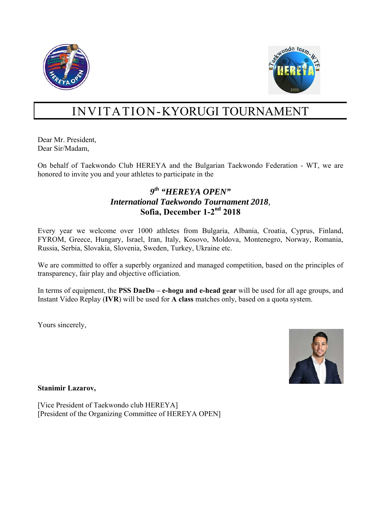



# INVITATION-KYORUGI TOURNAMENT

Dear Mr. President, Dear Sir/Madam,

On behalf of Taekwondo Club HEREYA and the Bulgarian Taekwondo Federation - WT, we are honored to invite you and your athletes to participate in the

### *9th "HEREYA OPEN" International Taekwondo Tournament 2018,* **Sofia, December 1-2nd 2018**

Every year we welcome over 1000 athletes from Bulgaria, Albania, Croatia, Cyprus, Finland, FYROM, Greece, Hungary, Israel, Iran, Italy, Kosovo, Moldova, Montenegro, Norway, Romania, Russia, Serbia, Slovakia, Slovenia, Sweden, Turkey, Ukraine etc.

We are committed to offer a superbly organized and managed competition, based on the principles of transparency, fair play and objective officiation.

In terms of equipment, the **PSS DaeDo – e-hogu and e-head gear** will be used for all age groups, and Instant Video Replay (**IVR**) will be used for **A class** matches only, based on a quota system.

Yours sincerely,



**Stanimir Lazarov,** 

[Vice President of Taekwondo club HEREYA] [President of the Organizing Committee of HEREYA OPEN]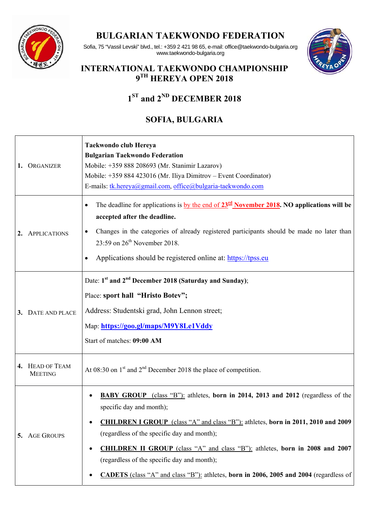

## **BULGARIAN TAEKWONDO FEDERATION**



Sofia, 75 "Vassil Levski" blvd., tel.: +359 2 421 98 65, e-mail: office@taekwondo-bulgaria.org www.taekwondo-bulgaria.org

## **INTERNATIONAL TAEKWONDO CHAMPIONSHIP 9TH HEREYA OPEN 2018**

# **1ST and 2ND DECEMBER 2018**

# **SOFIA, BULGARIA**

| 1. | ORGANIZER                         | Taekwondo club Hereya<br><b>Bulgarian Taekwondo Federation</b><br>Mobile: +359 888 208693 (Mr. Stanimir Lazarov)<br>Mobile: +359 884 423016 (Mr. Iliya Dimitrov – Event Coordinator)<br>E-mails: tk.hereya@gmail.com, office@bulgaria-taekwondo.com                                                                                                                                                                                                                                                 |  |  |  |
|----|-----------------------------------|-----------------------------------------------------------------------------------------------------------------------------------------------------------------------------------------------------------------------------------------------------------------------------------------------------------------------------------------------------------------------------------------------------------------------------------------------------------------------------------------------------|--|--|--|
|    | <b>APPLICATIONS</b>               | The deadline for applications is <u>by the end of <math>23^{\text{rd}}</math> November 2018</u> . NO applications will be<br>accepted after the deadline.<br>Changes in the categories of already registered participants should be made no later than<br>23:59 on $26th$ November 2018.<br>Applications should be registered online at: https://tpss.eu<br>$\bullet$                                                                                                                               |  |  |  |
|    | 3. DATE AND PLACE                 | Date: 1 <sup>st</sup> and 2 <sup>nd</sup> December 2018 (Saturday and Sunday);<br>Place: sport hall "Hristo Botev";<br>Address: Studentski grad, John Lennon street;<br>Map: https://goo.gl/maps/M9Y8Le1Vddy<br>Start of matches: 09:00 AM                                                                                                                                                                                                                                                          |  |  |  |
|    | 4. HEAD OF TEAM<br><b>MEETING</b> | At 08:30 on $1st$ and $2nd$ December 2018 the place of competition.                                                                                                                                                                                                                                                                                                                                                                                                                                 |  |  |  |
| 5. | <b>AGE GROUPS</b>                 | <b>BABY GROUP</b> (class "B"): athletes, born in 2014, 2013 and 2012 (regardless of the<br>specific day and month);<br><b>CHILDREN I GROUP</b> (class "A" and class "B"): athletes, born in 2011, 2010 and 2009<br>(regardless of the specific day and month);<br><b>CHILDREN II GROUP</b> (class "A" and class "B"): athletes, born in 2008 and 2007<br>٠<br>(regardless of the specific day and month);<br>CADETS (class "A" and class "B"): athletes, born in 2006, 2005 and 2004 (regardless of |  |  |  |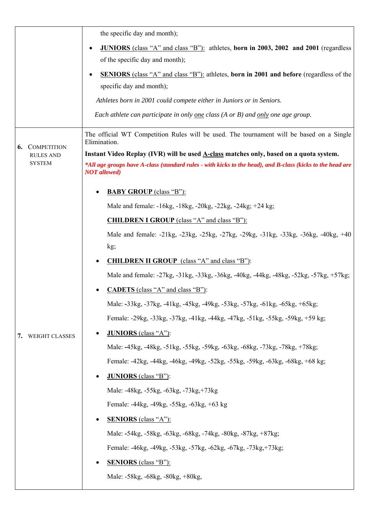|    |                    | the specific day and month);                                                                                                      |  |  |  |  |
|----|--------------------|-----------------------------------------------------------------------------------------------------------------------------------|--|--|--|--|
|    |                    | <b>JUNIORS</b> (class "A" and class "B"): athletes, born in 2003, 2002 and 2001 (regardless<br>$\bullet$                          |  |  |  |  |
|    |                    | of the specific day and month);                                                                                                   |  |  |  |  |
|    |                    | <b>SENIORS</b> (class "A" and class "B"): athletes, born in 2001 and before (regardless of the                                    |  |  |  |  |
|    |                    | specific day and month);                                                                                                          |  |  |  |  |
|    |                    | Athletes born in 2001 could compete either in Juniors or in Seniors.                                                              |  |  |  |  |
|    |                    | Each athlete can participate in only one class $(A \text{ or } B)$ and only one age group.                                        |  |  |  |  |
| 6. | <b>COMPETITION</b> | The official WT Competition Rules will be used. The tournament will be based on a Single<br>Elimination.                          |  |  |  |  |
|    | <b>RULES AND</b>   | Instant Video Replay (IVR) will be used <b>A-class</b> matches only, based on a quota system.                                     |  |  |  |  |
|    | <b>SYSTEM</b>      | *All age groups have A-class (standard rules - with kicks to the head), and B-class (kicks to the head are<br><b>NOT</b> allowed) |  |  |  |  |
|    |                    | <b>BABY GROUP</b> (class "B"):                                                                                                    |  |  |  |  |
|    |                    | Male and female: -16kg, -18kg, -20kg, -22kg, -24kg; +24 kg;                                                                       |  |  |  |  |
|    |                    | <b>CHILDREN I GROUP</b> (class "A" and class "B"):                                                                                |  |  |  |  |
|    |                    | Male and female: -21kg, -23kg, -25kg, -27kg, -29kg, -31kg, -33kg, -36kg, -40kg, +40                                               |  |  |  |  |
|    |                    | kg;                                                                                                                               |  |  |  |  |
|    |                    | <b>CHILDREN II GROUP</b> (class "A" and class "B"):                                                                               |  |  |  |  |
|    |                    | Male and female: -27kg, -31kg, -33kg, -36kg, -40kg, -44kg, -48kg, -52kg, -57kg, +57kg;                                            |  |  |  |  |
|    |                    | <b>CADETS</b> (class "A" and class "B"):                                                                                          |  |  |  |  |
|    |                    | Male: -33kg, -37kg, -41kg, -45kg, -49kg, -53kg, -57kg, -61kg, -65kg, +65kg;                                                       |  |  |  |  |
|    | WEIGHT CLASSES     | Female: -29kg, -33kg, -37kg, -41kg, -44kg, -47kg, -51kg, -55kg, -59kg, +59 kg;                                                    |  |  |  |  |
| 7. |                    | <b>JUNIORS</b> (class "A"):                                                                                                       |  |  |  |  |
|    |                    | Male: -45kg, -48kg, -51kg, -55kg, -59kg, -63kg, -68kg, -73kg, -78kg, +78kg;                                                       |  |  |  |  |
|    |                    | Female: -42kg, -44kg, -46kg, -49kg, -52kg, -55kg, -59kg, -63kg, -68kg, +68 kg;                                                    |  |  |  |  |
|    |                    | <b>JUNIORS</b> (class "B"):                                                                                                       |  |  |  |  |
|    |                    | Male: -48kg, -55kg, -63kg, -73kg, +73kg                                                                                           |  |  |  |  |
|    |                    | Female: -44kg, -49kg, -55kg, -63kg, +63 kg                                                                                        |  |  |  |  |
|    |                    | <b>SENIORS</b> (class "A"):                                                                                                       |  |  |  |  |
|    |                    | Male: -54kg, -58kg, -63kg, -68kg, -74kg, -80kg, -87kg, +87kg;                                                                     |  |  |  |  |
|    |                    | Female: -46kg, -49kg, -53kg, -57kg, -62kg, -67kg, -73kg, +73kg;                                                                   |  |  |  |  |
|    |                    | <b>SENIORS</b> (class "B"):                                                                                                       |  |  |  |  |
|    |                    | Male: -58kg, -68kg, -80kg, +80kg,                                                                                                 |  |  |  |  |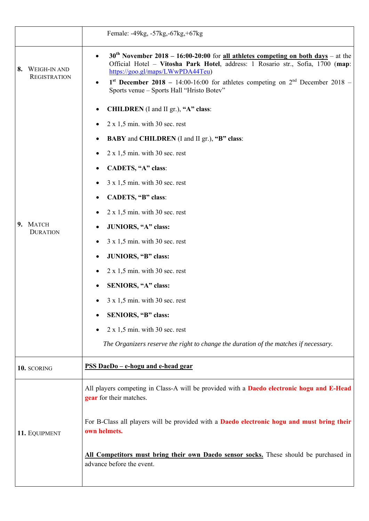|                                                  | Female: -49kg, -57kg, -67kg, +67kg                                                                                                                                                                                                                                                                                                                                                                                                                                                                                                                                                                                                                                        |
|--------------------------------------------------|---------------------------------------------------------------------------------------------------------------------------------------------------------------------------------------------------------------------------------------------------------------------------------------------------------------------------------------------------------------------------------------------------------------------------------------------------------------------------------------------------------------------------------------------------------------------------------------------------------------------------------------------------------------------------|
| <b>WEIGH-IN AND</b><br>8.<br><b>REGISTRATION</b> | $30th$ November 2018 – 16:00-20:00 for <u>all athletes competing on both days</u> – at the<br>$\bullet$<br>Official Hotel - Vitosha Park Hotel, address: 1 Rosario str., Sofia, 1700 (map:<br>https://goo.gl/maps/LWwPDA44Teu)<br>1 <sup>st</sup> December 2018 – 14:00-16:00 for athletes competing on $2nd$ December 2018 –<br>$\bullet$<br>Sports venue - Sports Hall "Hristo Botev"                                                                                                                                                                                                                                                                                   |
| 9. MATCH<br><b>DURATION</b>                      | CHILDREN (I and II gr.), "A" class:<br>$2 \times 1,5$ min. with 30 sec. rest<br><b>BABY</b> and <b>CHILDREN</b> (I and II gr.), "B" class:<br>$2 \times 1,5$ min. with 30 sec. rest<br>CADETS, "A" class:<br>$3 \times 1,5$ min. with 30 sec. rest<br>CADETS, "B" class:<br>$2 \times 1,5$ min. with 30 sec. rest<br>JUNIORS, "A" class:<br>$3 \times 1,5$ min. with 30 sec. rest<br>JUNIORS, "B" class:<br>$2 \times 1,5$ min. with 30 sec. rest<br>SENIORS, "A" class:<br>$3 \times 1,5$ min. with 30 sec. rest<br>SENIORS, "B" class:<br>$2 \times 1,5$ min. with 30 sec. rest<br>The Organizers reserve the right to change the duration of the matches if necessary. |
| 10. SCORING                                      | PSS DaeDo - e-hogu and e-head gear                                                                                                                                                                                                                                                                                                                                                                                                                                                                                                                                                                                                                                        |
| 11. EQUIPMENT                                    | All players competing in Class-A will be provided with a Daedo electronic hogu and E-Head<br>gear for their matches.<br>For B-Class all players will be provided with a Daedo electronic hogu and must bring their<br>own helmets.<br>All Competitors must bring their own Daedo sensor socks. These should be purchased in<br>advance before the event.                                                                                                                                                                                                                                                                                                                  |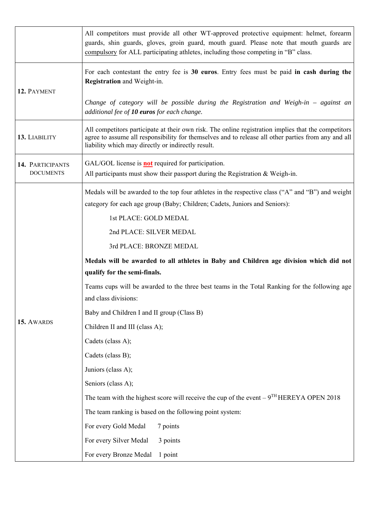|                                      | All competitors must provide all other WT-approved protective equipment: helmet, forearm<br>guards, shin guards, gloves, groin guard, mouth guard. Please note that mouth guards are<br>compulsory for ALL participating athletes, including those competing in "B" class. |  |  |  |  |  |  |  |
|--------------------------------------|----------------------------------------------------------------------------------------------------------------------------------------------------------------------------------------------------------------------------------------------------------------------------|--|--|--|--|--|--|--|
| 12. PAYMENT                          | For each contestant the entry fee is 30 euros. Entry fees must be paid in cash during the<br>Registration and Weight-in.                                                                                                                                                   |  |  |  |  |  |  |  |
|                                      | Change of category will be possible during the Registration and Weigh-in $-$ against an<br>additional fee of 10 euros for each change.                                                                                                                                     |  |  |  |  |  |  |  |
| 13. LIABILITY                        | All competitors participate at their own risk. The online registration implies that the competitors<br>agree to assume all responsibility for themselves and to release all other parties from any and all<br>liability which may directly or indirectly result.           |  |  |  |  |  |  |  |
| 14. PARTICIPANTS<br><b>DOCUMENTS</b> | GAL/GOL license is <b>not</b> required for participation.<br>All participants must show their passport during the Registration $&$ Weigh-in.                                                                                                                               |  |  |  |  |  |  |  |
|                                      | Medals will be awarded to the top four athletes in the respective class ("A" and "B") and weight<br>category for each age group (Baby; Children; Cadets, Juniors and Seniors):                                                                                             |  |  |  |  |  |  |  |
|                                      | 1st PLACE: GOLD MEDAL                                                                                                                                                                                                                                                      |  |  |  |  |  |  |  |
|                                      | 2nd PLACE: SILVER MEDAL                                                                                                                                                                                                                                                    |  |  |  |  |  |  |  |
|                                      | 3rd PLACE: BRONZE MEDAL                                                                                                                                                                                                                                                    |  |  |  |  |  |  |  |
|                                      | Medals will be awarded to all athletes in Baby and Children age division which did not<br>qualify for the semi-finals.                                                                                                                                                     |  |  |  |  |  |  |  |
|                                      | Teams cups will be awarded to the three best teams in the Total Ranking for the following age<br>and class divisions:                                                                                                                                                      |  |  |  |  |  |  |  |
|                                      | Baby and Children I and II group (Class B)                                                                                                                                                                                                                                 |  |  |  |  |  |  |  |
| 15. AWARDS                           | Children II and III (class A);                                                                                                                                                                                                                                             |  |  |  |  |  |  |  |
|                                      | Cadets (class A);                                                                                                                                                                                                                                                          |  |  |  |  |  |  |  |
|                                      | Cadets (class B);                                                                                                                                                                                                                                                          |  |  |  |  |  |  |  |
|                                      | Juniors (class A);                                                                                                                                                                                                                                                         |  |  |  |  |  |  |  |
|                                      | Seniors (class A);                                                                                                                                                                                                                                                         |  |  |  |  |  |  |  |
|                                      | The team with the highest score will receive the cup of the event $-9TH HEREYA$ OPEN 2018                                                                                                                                                                                  |  |  |  |  |  |  |  |
|                                      | The team ranking is based on the following point system:                                                                                                                                                                                                                   |  |  |  |  |  |  |  |
|                                      | For every Gold Medal<br>7 points                                                                                                                                                                                                                                           |  |  |  |  |  |  |  |
|                                      | For every Silver Medal<br>3 points                                                                                                                                                                                                                                         |  |  |  |  |  |  |  |
|                                      | For every Bronze Medal<br>1 point                                                                                                                                                                                                                                          |  |  |  |  |  |  |  |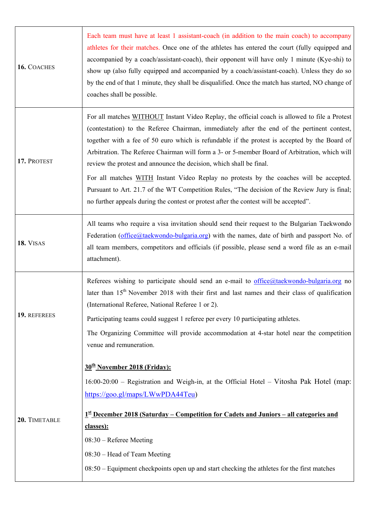| 16. COACHES   | Each team must have at least 1 assistant-coach (in addition to the main coach) to accompany<br>athletes for their matches. Once one of the athletes has entered the court (fully equipped and<br>accompanied by a coach/assistant-coach), their opponent will have only 1 minute (Kye-shi) to<br>show up (also fully equipped and accompanied by a coach/assistant-coach). Unless they do so<br>by the end of that 1 minute, they shall be disqualified. Once the match has started, NO change of<br>coaches shall be possible.                                                                                                                                                                                                                           |
|---------------|-----------------------------------------------------------------------------------------------------------------------------------------------------------------------------------------------------------------------------------------------------------------------------------------------------------------------------------------------------------------------------------------------------------------------------------------------------------------------------------------------------------------------------------------------------------------------------------------------------------------------------------------------------------------------------------------------------------------------------------------------------------|
| 17. PROTEST   | For all matches WITHOUT Instant Video Replay, the official coach is allowed to file a Protest<br>(contestation) to the Referee Chairman, immediately after the end of the pertinent contest,<br>together with a fee of 50 euro which is refundable if the protest is accepted by the Board of<br>Arbitration. The Referee Chairman will form a 3- or 5-member Board of Arbitration, which will<br>review the protest and announce the decision, which shall be final.<br>For all matches WITH Instant Video Replay no protests by the coaches will be accepted.<br>Pursuant to Art. 21.7 of the WT Competition Rules, "The decision of the Review Jury is final;<br>no further appeals during the contest or protest after the contest will be accepted". |
| 18. VISAS     | All teams who require a visa invitation should send their request to the Bulgarian Taekwondo<br>Federation (office@taekwondo-bulgaria.org) with the names, date of birth and passport No. of<br>all team members, competitors and officials (if possible, please send a word file as an e-mail<br>attachment).                                                                                                                                                                                                                                                                                                                                                                                                                                            |
| 19. REFEREES  | Referees wishing to participate should send an e-mail to $office@$ taekwondo-bulgaria.org no<br>later than 15 <sup>th</sup> November 2018 with their first and last names and their class of qualification<br>(International Referee, National Referee 1 or 2).<br>Participating teams could suggest 1 referee per every 10 participating athletes.<br>The Organizing Committee will provide accommodation at 4-star hotel near the competition<br>venue and remuneration.                                                                                                                                                                                                                                                                                |
| 20. TIMETABLE | 30 <sup>th</sup> November 2018 (Friday):<br>$16:00-20:00$ – Registration and Weigh-in, at the Official Hotel – Vitosha Pak Hotel (map:<br>https://goo.gl/maps/LWwPDA44Teu)<br><u>1<sup>st</sup> December 2018 (Saturday – Competition for Cadets and Juniors – all categories and</u><br>classes):<br>$08:30$ – Referee Meeting<br>08:30 – Head of Team Meeting<br>08:50 – Equipment checkpoints open up and start checking the athletes for the first matches                                                                                                                                                                                                                                                                                            |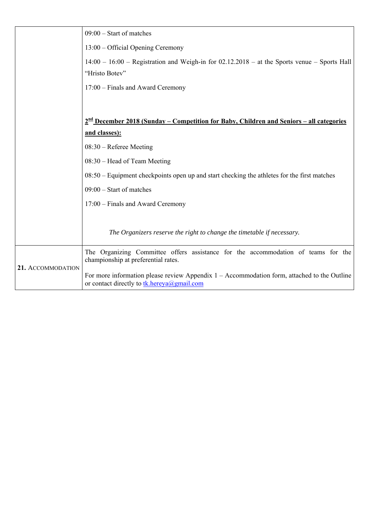|                   | $09:00$ – Start of matches                                                                                                                  |
|-------------------|---------------------------------------------------------------------------------------------------------------------------------------------|
|                   | 13:00 – Official Opening Ceremony                                                                                                           |
|                   | $14:00 - 16:00$ – Registration and Weigh-in for 02.12.2018 – at the Sports venue – Sports Hall                                              |
|                   | "Hristo Botev"                                                                                                                              |
|                   | 17:00 – Finals and Award Ceremony                                                                                                           |
|                   |                                                                                                                                             |
|                   | 2 <sup>nd</sup> December 2018 (Sunday – Competition for Baby, Children and Seniors – all categories                                         |
|                   | and classes):                                                                                                                               |
|                   | $08:30$ – Referee Meeting                                                                                                                   |
|                   | 08:30 – Head of Team Meeting                                                                                                                |
|                   | $08:50$ – Equipment checkpoints open up and start checking the athletes for the first matches                                               |
|                   | $09:00$ – Start of matches                                                                                                                  |
|                   | 17:00 – Finals and Award Ceremony                                                                                                           |
|                   |                                                                                                                                             |
|                   | The Organizers reserve the right to change the timetable if necessary.                                                                      |
|                   | The Organizing Committee offers assistance for the accommodation of teams for the<br>championship at preferential rates.                    |
| 21. ACCOMMODATION | For more information please review Appendix $1 -$ Accommodation form, attached to the Outline<br>or contact directly to tk.hereya@gmail.com |
|                   |                                                                                                                                             |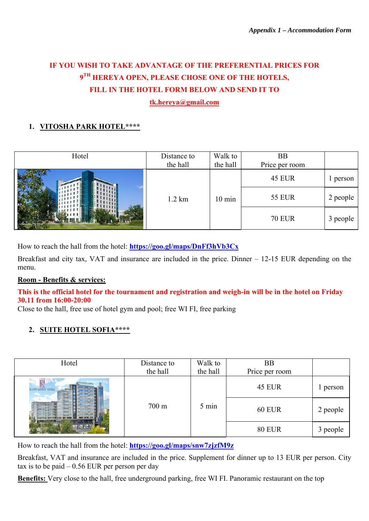# **IF YOU WISH TO TAKE ADVANTAGE OF THE PREFERENTIAL PRICES FOR 9TH HEREYA OPEN, PLEASE CHOSE ONE OF THE HOTELS, FILL IN THE HOTEL FORM BELOW AND SEND IT TO**

**[tk.hereya@gmail.com](mailto:tk.hereya@gmail.com)**

#### **1. VITOSHA PARK HOTEL\*\*\*\***

| Hotel | Distance to<br>the hall | Walk to<br>the hall | <b>BB</b><br>Price per room |          |
|-------|-------------------------|---------------------|-----------------------------|----------|
|       |                         |                     | <b>45 EUR</b>               | l person |
|       | $1.2 \text{ km}$        | $10 \text{ min}$    | <b>55 EUR</b>               | 2 people |
|       |                         |                     | <b>70 EUR</b>               | 3 people |

How to reach the hall from the hotel: **<https://goo.gl/maps/DnFf3hVb3Cx>**

Breakfast and city tax, VAT and insurance are included in the price. Dinner – 12-15 EUR depending on the menu.

#### **Room - Benefits & services:**

#### **This is the official hotel for the tournament and registration and weigh-in will be in the hotel on Friday 30.11 from 16:00-20:00**

Close to the hall, free use of hotel gym and pool; free WI FI, free parking

#### **2. SUITE HOTEL SOFIA\*\*\*\***

| Hotel                    | Distance to<br>the hall | Walk to<br>the hall | <b>BB</b><br>Price per room |          |
|--------------------------|-------------------------|---------------------|-----------------------------|----------|
| <b>SUITE HOTEL SOFIA</b> |                         |                     | <b>45 EUR</b>               | l person |
|                          | $700 \text{ m}$         | 5 min               | <b>60 EUR</b>               | 2 people |
|                          |                         |                     | <b>80 EUR</b>               | 3 people |

How to reach the hall from the hotel: **<https://goo.gl/maps/snw7zjzfM9z>**

Breakfast, VAT and insurance are included in the price. Supplement for dinner up to 13 EUR per person. City tax is to be paid  $-0.56$  EUR per person per day

**Benefits:** Very close to the hall, free underground parking, free WI FI. Panoramic restaurant on the top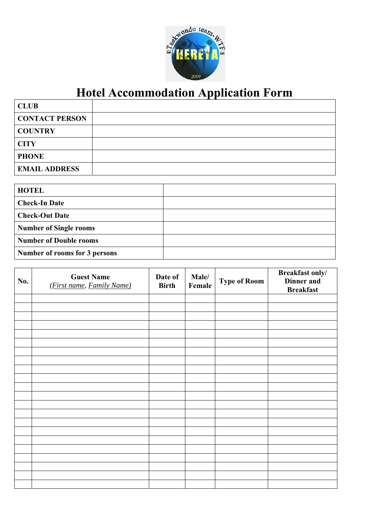

# **Hotel Accommodation Application Form**

| <b>CLUB</b>           |  |
|-----------------------|--|
| <b>CONTACT PERSON</b> |  |
| <b>COUNTRY</b>        |  |
| <b>CITY</b>           |  |
| <b>PHONE</b>          |  |
| <b>EMAIL ADDRESS</b>  |  |

| <b>HOTEL</b>                  |  |
|-------------------------------|--|
| <b>Check-In Date</b>          |  |
| <b>Check-Out Date</b>         |  |
| <b>Number of Single rooms</b> |  |
| <b>Number of Double rooms</b> |  |
| Number of rooms for 3 persons |  |

| No. | <b>Guest Name</b><br>(First name, Family Name) | Date of<br><b>Birth</b> | Male/<br>Female | <b>Type of Room</b> | <b>Breakfast only/</b><br><b>Dinner</b> and<br><b>Breakfast</b> |
|-----|------------------------------------------------|-------------------------|-----------------|---------------------|-----------------------------------------------------------------|
|     |                                                |                         |                 |                     |                                                                 |
|     |                                                |                         |                 |                     |                                                                 |
|     |                                                |                         |                 |                     |                                                                 |
|     |                                                |                         |                 |                     |                                                                 |
|     |                                                |                         |                 |                     |                                                                 |
|     |                                                |                         |                 |                     |                                                                 |
|     |                                                |                         |                 |                     |                                                                 |
|     |                                                |                         |                 |                     |                                                                 |
|     |                                                |                         |                 |                     |                                                                 |
|     |                                                |                         |                 |                     |                                                                 |
|     |                                                |                         |                 |                     |                                                                 |
|     |                                                |                         |                 |                     |                                                                 |
|     |                                                |                         |                 |                     |                                                                 |
|     |                                                |                         |                 |                     |                                                                 |
|     |                                                |                         |                 |                     |                                                                 |
|     |                                                |                         |                 |                     |                                                                 |
|     |                                                |                         |                 |                     |                                                                 |
|     |                                                |                         |                 |                     |                                                                 |
|     |                                                |                         |                 |                     |                                                                 |
|     |                                                |                         |                 |                     |                                                                 |
|     |                                                |                         |                 |                     |                                                                 |